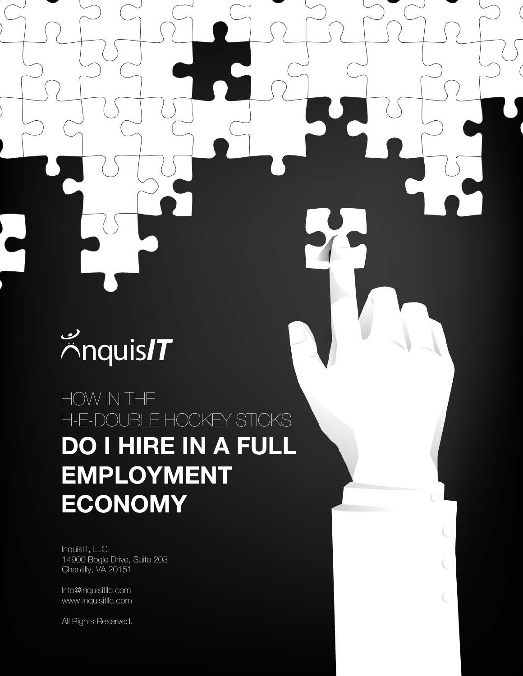# $\lambda$ nquis/ $\tau$

HOW IN THE H-E-DOUBLE HOCKEY STICKS **DO I HIRE IN A FULL EMPLOYMENT ECONOMY**

InquisIT, LLC. 14900 Bogle Drive, Suite 203 Chantilly, VA 20151

Info@inquisitllc.com www.inquisitllc.com

All Rights Reserved.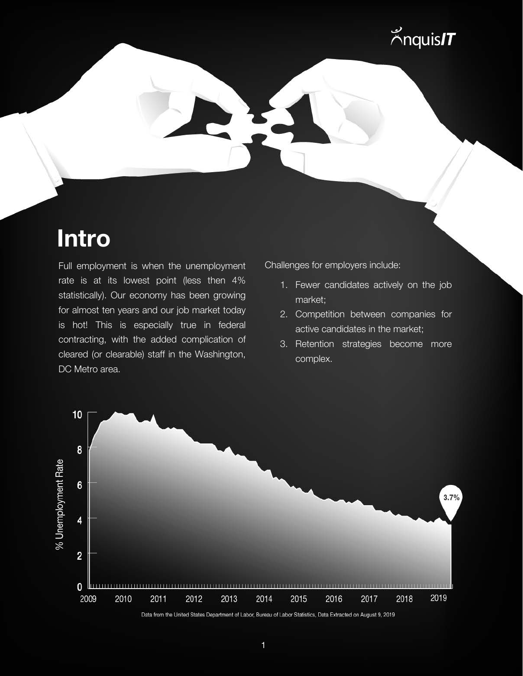

### **Intro**

Full employment is when the unemployment Challenges for employers include: rate is at its lowest point (less then 4% statistically). Our economy has been growing for almost ten years and our job market today is hot! This is especially true in federal contracting, with the added complication of cleared (or clearable) staff in the Washington, DC Metro area.

- 1. Fewer candidates actively on the job market;
- 2. Competition between companies for active candidates in the market;
- 3. Retention strategies become more complex.

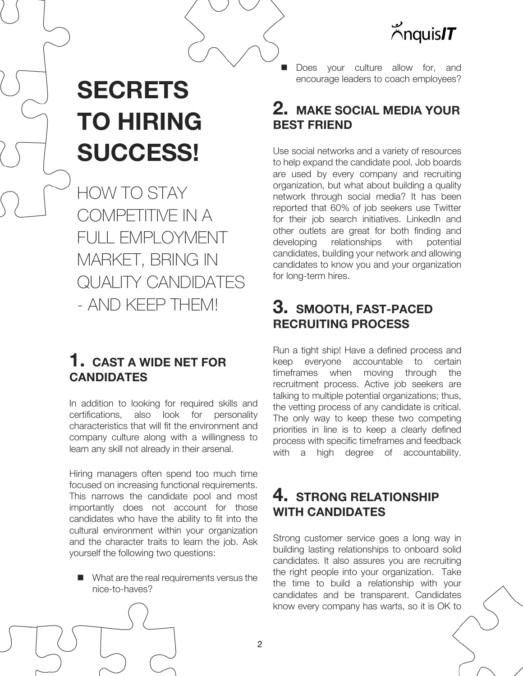### $\text{M}\Omega$ nquisl $\boldsymbol{T}$

## **SECRETS TO HIRING SUCCESS!**

HOW TO STAY COMPETITIVE IN A FULL EMPLOYMENT MARKET, BRING IN QUALITY CANDIDATES - AND KEEP THEM!

#### **1. CAST A WIDE NET FOR CANDIDATES**

In addition to looking for required skills and certifications, also look for personality characteristics that will fit the environment and company culture along with a willingness to learn any skill not already in their arsenal.

Hiring managers often spend too much time focused on increasing functional requirements. This narrows the candidate pool and most importantly does not account for those candidates who have the ability to fit into the cultural environment within your organization and the character traits to learn the job. Ask yourself the following two questions:

■ What are the real requirements versus the nice-to-haves?

Does your culture allow for, and encourage leaders to coach employees?

#### **2. MAKE SOCIAL MEDIA YOUR BEST FRIEND**

Use social networks and a variety of resources to help expand the candidate pool. Job boards are used by every company and recruiting organization, but what about building a quality network through social media? It has been reported that 60% of job seekers use Twitter for their job search initiatives. LinkedIn and other outlets are great for both finding and developing relationships with potential candidates, building your network and allowing candidates to know you and your organization for long-term hires.

#### **3. SMOOTH, FAST-PACED RECRUITING PROCESS**

Run a tight ship! Have a defined process and keep everyone accountable to certain timeframes when moving through the recruitment process. Active job seekers are talking to multiple potential organizations; thus, the vetting process of any candidate is critical. The only way to keep these two competing priorities in line is to keep a clearly defined process with specific timeframes and feedback with a high degree of accountability.

#### **4. STRONG RELATIONSHIP WITH CANDIDATES**

Strong customer service goes a long way in building lasting relationships to onboard solid candidates. It also assures you are recruiting the right people into your organization. Take the time to build a relationship with your candidates and be transparent. Candidates know every company has warts, so it is OK to